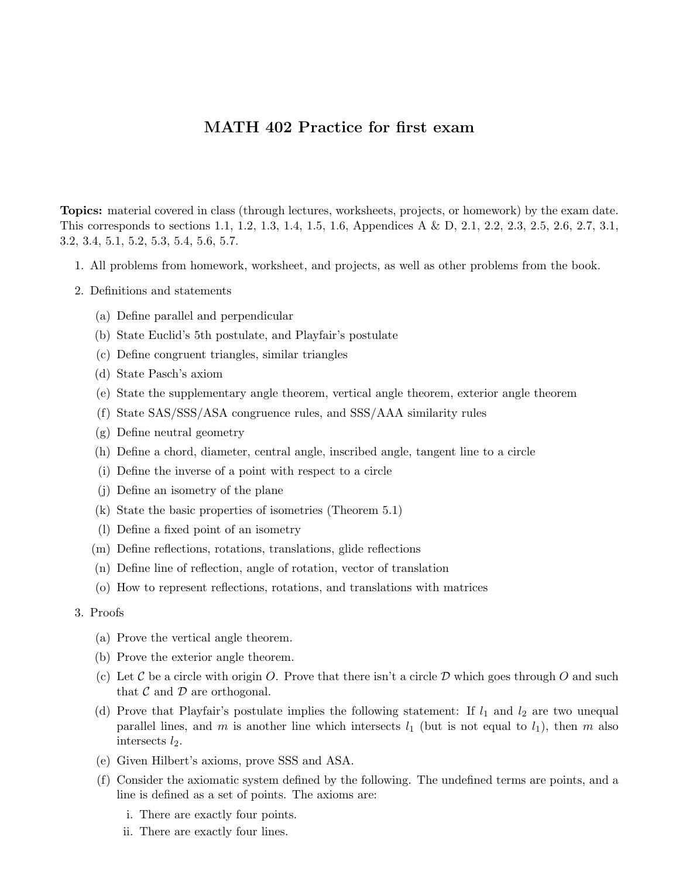## MATH 402 Practice for first exam

Topics: material covered in class (through lectures, worksheets, projects, or homework) by the exam date. This corresponds to sections 1.1, 1.2, 1.3, 1.4, 1.5, 1.6, Appendices A & D, 2.1, 2.2, 2.3, 2.5, 2.6, 2.7, 3.1, 3.2, 3.4, 5.1, 5.2, 5.3, 5.4, 5.6, 5.7.

- 1. All problems from homework, worksheet, and projects, as well as other problems from the book.
- 2. Definitions and statements
	- (a) Define parallel and perpendicular
	- (b) State Euclid's 5th postulate, and Playfair's postulate
	- (c) Define congruent triangles, similar triangles
	- (d) State Pasch's axiom
	- (e) State the supplementary angle theorem, vertical angle theorem, exterior angle theorem
	- (f) State SAS/SSS/ASA congruence rules, and SSS/AAA similarity rules
	- (g) Define neutral geometry
	- (h) Define a chord, diameter, central angle, inscribed angle, tangent line to a circle
	- (i) Define the inverse of a point with respect to a circle
	- (j) Define an isometry of the plane
	- (k) State the basic properties of isometries (Theorem 5.1)
	- (l) Define a fixed point of an isometry
	- (m) Define reflections, rotations, translations, glide reflections
	- (n) Define line of reflection, angle of rotation, vector of translation
	- (o) How to represent reflections, rotations, and translations with matrices

## 3. Proofs

- (a) Prove the vertical angle theorem.
- (b) Prove the exterior angle theorem.
- (c) Let C be a circle with origin O. Prove that there isn't a circle  $\mathcal D$  which goes through O and such that  $\mathcal C$  and  $\mathcal D$  are orthogonal.
- (d) Prove that Playfair's postulate implies the following statement: If  $l_1$  and  $l_2$  are two unequal parallel lines, and m is another line which intersects  $l_1$  (but is not equal to  $l_1$ ), then m also intersects  $l_2$ .
- (e) Given Hilbert's axioms, prove SSS and ASA.
- (f) Consider the axiomatic system defined by the following. The undefined terms are points, and a line is defined as a set of points. The axioms are:
	- i. There are exactly four points.
	- ii. There are exactly four lines.